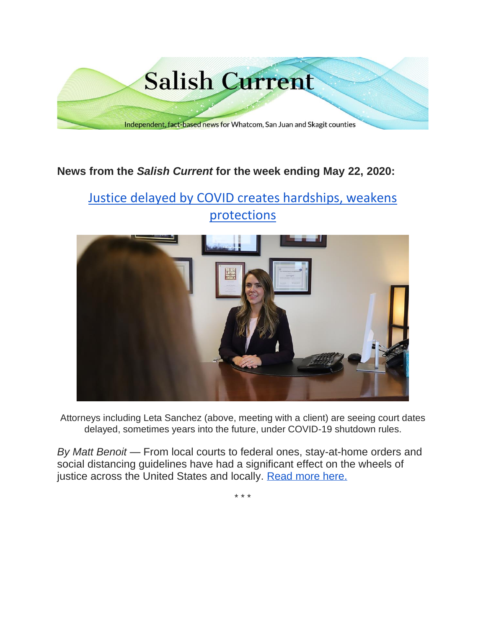

## **News from the** *Salish Current* **for the week ending May 22, 2020:**

# [Justice delayed by COVID creates hardships, weakens](https://salish-current.org/2020/05/22/justice-delayed-by-covid-creates-hardships-weakens-protections/)  [protections](https://salish-current.org/2020/05/22/justice-delayed-by-covid-creates-hardships-weakens-protections/)



Attorneys including Leta Sanchez (above, meeting with a client) are seeing court dates delayed, sometimes years into the future, under COVID-19 shutdown rules.

*By Matt Benoit* — From local courts to federal ones, stay-at-home orders and social distancing guidelines have had a significant effect on the wheels of justice across the United States and locally. [Read more here.](https://salish-current.org/2020/05/22/justice-delayed-by-covid-creates-hardships-weakens-protections/)

\* \* \*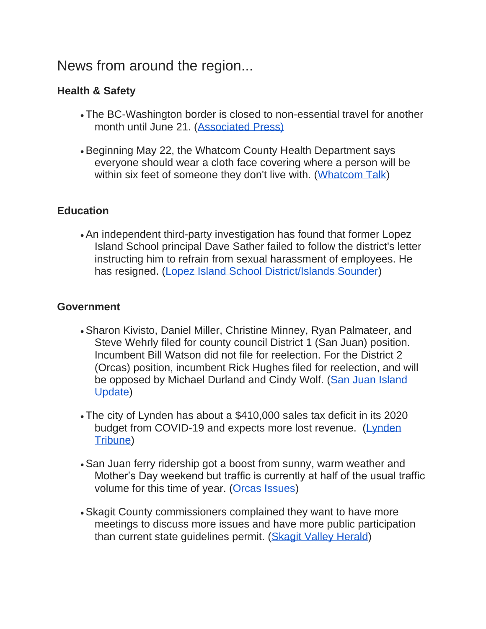# News from around the region...

## **Health & Safety**

- The BC-Washington border is closed to non-essential travel for another month until June 21. [\(Associated Press\)](https://www.seattletimes.com/nation-world/nation/canada-us-extend-border-closure-to-non-essential-travel/)
- •Beginning May 22, the Whatcom County Health Department says everyone should wear a cloth face covering where a person will be within six feet of someone they don't live with. [\(Whatcom Talk\)](https://www.whatcomtalk.com/2020/05/18/whatcom-county-health-department-issues-cloth-face-covering-directive-to-help-maintain-gains-made-over-covid-19/)

### **Education**

•An independent third-party investigation has found that former Lopez Island School principal Dave Sather failed to follow the district's letter instructing him to refrain from sexual harassment of employees. He has resigned. [\(Lopez Island School District/Islands Sounder\)](https://www.islandssounder.com/news/investigation-concludes-former-lopez-secondary-school-principal-sexually-harassed-coworkers/)

### **Government**

- •Sharon Kivisto, Daniel Miller, Christine Minney, Ryan Palmateer, and Steve Wehrly filed for county council District 1 (San Juan) position. Incumbent Bill Watson did not file for reelection. For the District 2 (Orcas) position, incumbent Rick Hughes filed for reelection, and will be opposed by Michael Durland and Cindy Wolf. (San Juan Island [Update\)](https://sanjuanupdate.com/2020/05/election-2020/)
- The city of Lynden has about a \$410,000 sales tax deficit in its 2020 budget from COVID-19 and expects more lost revenue. (Lynden [Tribune\)](https://www.lyndentribune.com/news/city-preps-for-at-least-a-410-000-budget-hole/article_8022bfbe-9ac1-11ea-b474-d3450bb2e8e7.html)
- •San Juan ferry ridership got a boost from sunny, warm weather and Mother's Day weekend but traffic is currently at half of the usual traffic volume for this time of year. [\(Orcas Issues\)](https://orcasissues.com/ferry-ridership-up-slightly-but-remains-way-down-compared-to-last-year/)
- •Skagit County commissioners complained they want to have more meetings to discuss more issues and have more public participation than current state guidelines permit. [\(Skagit Valley Herald\)](https://www.goskagit.com/coronavirus/commissioners-discuss-meeting-options-funding-needs/article_62cdd9da-4602-5b45-a56b-94821dea5079.html)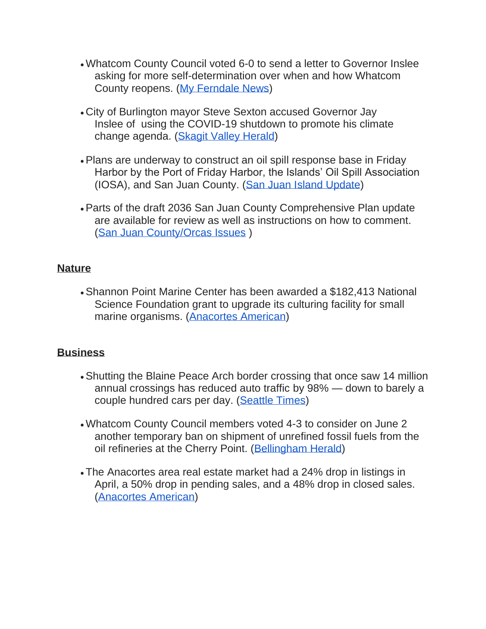- Whatcom County Council voted 6-0 to send a letter to Governor Inslee asking for more self-determination over when and how Whatcom County reopens. [\(My Ferndale News\)](https://myferndalenews.com/whatcom-county-council-asks-gov-to-allow-counties-to-determine-their-own-future_103206/)
- City of Burlington mayor Steve Sexton accused Governor Jay Inslee of using the COVID-19 shutdown to promote his climate change agenda. [\(Skagit Valley Herald\)](https://www.goskagit.com/coronavirus/burlington-mayor-questions-inslees-motives-on-covid-19/article_7ee2a615-3d25-598e-a5be-0b10aa0168eb.html)
- •Plans are underway to construct an oil spill response base in Friday Harbor by the Port of Friday Harbor, the Islands' Oil Spill Association (IOSA), and San Juan County. [\(San Juan Island Update\)](https://sanjuanupdate.com/2020/05/plans-being-developed-for-oil-spill-response-base-in-friday-harbor/)
- •Parts of the draft 2036 San Juan County Comprehensive Plan update are available for review as well as instructions on how to comment. [\(San Juan County/Orcas Issues](https://orcasissues.com/sjc-2036-comprehensive-plan-update-drafts-available-for-review/) )

#### **Nature**

•Shannon Point Marine Center has been awarded a \$182,413 National Science Foundation grant to upgrade its culturing facility for small marine organisms. [\(Anacortes American\)](https://www.goskagit.com/anacortes/news/shannon-point-marine-center-receives-grant-remains-mostly-closed/article_733eb5e6-9a1c-11ea-9e7e-87ae0b2a1591.html)

### **Business**

- •Shutting the Blaine Peace Arch border crossing that once saw 14 million annual crossings has reduced auto traffic by 98% — down to barely a couple hundred cars per day. [\(Seattle Times\)](https://www.seattletimes.com/seattle-news/northwest/washington-states-once-bustling-border-towns-and-islands-fall-silent-due-to-coronavirus-pandemic/)
- Whatcom County Council members voted 4-3 to consider on June 2 another temporary ban on shipment of unrefined fossil fuels from the oil refineries at the Cherry Point. [\(Bellingham Herald\)](https://www.bellinghamherald.com/news/local/article242845146.html)
- The Anacortes area real estate market had a 24% drop in listings in April, a 50% drop in pending sales, and a 48% drop in closed sales. [\(Anacortes American\)](https://www.goskagit.com/anacortes/news/local-real-estate-market-shows-effects-from-covid-19-pandemic/article_06c7c544-9aa1-11ea-ab74-b31efa921dd5.html)